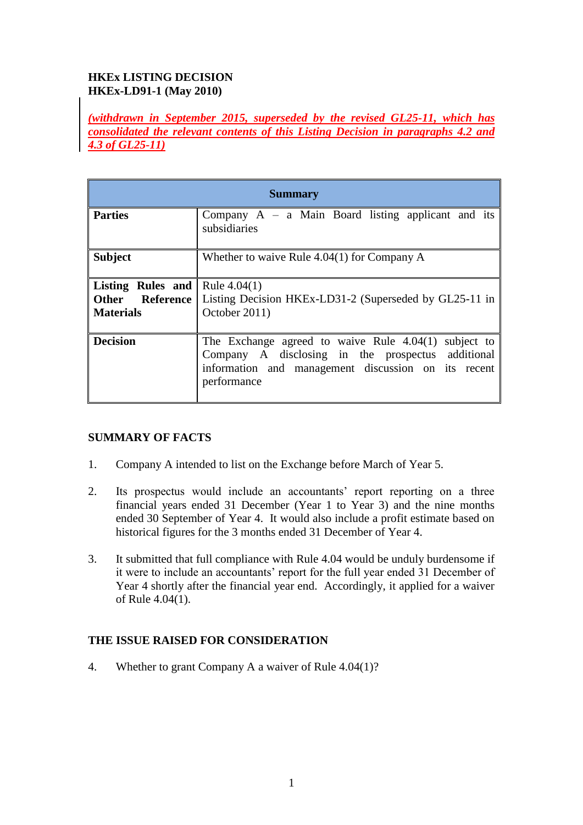# **HKEx LISTING DECISION HKEx-LD91-1 (May 2010)**

*(withdrawn in September 2015, superseded by the revised GL25-11, which has consolidated the relevant contents of this Listing Decision in paragraphs 4.2 and 4.3 of GL25-11)*

| <b>Summary</b>                                            |                                                                                                                                                                                   |
|-----------------------------------------------------------|-----------------------------------------------------------------------------------------------------------------------------------------------------------------------------------|
| <b>Parties</b>                                            | Company $A - a$ Main Board listing applicant and its<br>subsidiaries                                                                                                              |
| <b>Subject</b>                                            | Whether to waive Rule 4.04(1) for Company A                                                                                                                                       |
| <b>Listing Rules and Rule 4.04(1)</b><br><b>Materials</b> | <b>Other</b> Reference Listing Decision HKEx-LD31-2 (Superseded by GL25-11 in<br>October 2011)                                                                                    |
| <b>Decision</b>                                           | The Exchange agreed to waive Rule $4.04(1)$ subject to<br>Company A disclosing in the prospectus additional<br>information and management discussion on its recent<br>performance |

## **SUMMARY OF FACTS**

- 1. Company A intended to list on the Exchange before March of Year 5.
- 2. Its prospectus would include an accountants' report reporting on a three financial years ended 31 December (Year 1 to Year 3) and the nine months ended 30 September of Year 4. It would also include a profit estimate based on historical figures for the 3 months ended 31 December of Year 4.
- 3. It submitted that full compliance with Rule 4.04 would be unduly burdensome if it were to include an accountants' report for the full year ended 31 December of Year 4 shortly after the financial year end. Accordingly, it applied for a waiver of Rule 4.04(1).

## **THE ISSUE RAISED FOR CONSIDERATION**

4. Whether to grant Company A a waiver of Rule 4.04(1)?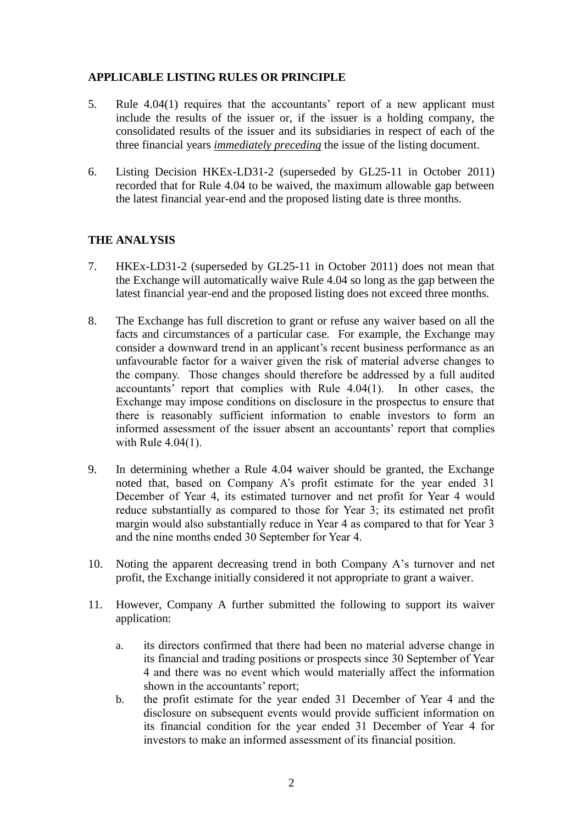#### **APPLICABLE LISTING RULES OR PRINCIPLE**

- 5. Rule 4.04(1) requires that the accountants' report of a new applicant must include the results of the issuer or, if the issuer is a holding company, the consolidated results of the issuer and its subsidiaries in respect of each of the three financial years *immediately preceding* the issue of the listing document.
- 6. Listing Decision HKEx-LD31-2 (superseded by GL25-11 in October 2011) recorded that for Rule 4.04 to be waived, the maximum allowable gap between the latest financial year-end and the proposed listing date is three months.

## **THE ANALYSIS**

- 7. HKEx-LD31-2 (superseded by GL25-11 in October 2011) does not mean that the Exchange will automatically waive Rule 4.04 so long as the gap between the latest financial year-end and the proposed listing does not exceed three months.
- 8. The Exchange has full discretion to grant or refuse any waiver based on all the facts and circumstances of a particular case. For example, the Exchange may consider a downward trend in an applicant's recent business performance as an unfavourable factor for a waiver given the risk of material adverse changes to the company. Those changes should therefore be addressed by a full audited accountants' report that complies with Rule 4.04(1). In other cases, the Exchange may impose conditions on disclosure in the prospectus to ensure that there is reasonably sufficient information to enable investors to form an informed assessment of the issuer absent an accountants' report that complies with Rule 4.04(1).
- 9. In determining whether a Rule 4.04 waiver should be granted, the Exchange noted that, based on Company A's profit estimate for the year ended 31 December of Year 4, its estimated turnover and net profit for Year 4 would reduce substantially as compared to those for Year 3; its estimated net profit margin would also substantially reduce in Year 4 as compared to that for Year 3 and the nine months ended 30 September for Year 4.
- 10. Noting the apparent decreasing trend in both Company A's turnover and net profit, the Exchange initially considered it not appropriate to grant a waiver.
- 11. However, Company A further submitted the following to support its waiver application:
	- a. its directors confirmed that there had been no material adverse change in its financial and trading positions or prospects since 30 September of Year 4 and there was no event which would materially affect the information shown in the accountants' report;
	- b. the profit estimate for the year ended 31 December of Year 4 and the disclosure on subsequent events would provide sufficient information on its financial condition for the year ended 31 December of Year 4 for investors to make an informed assessment of its financial position.